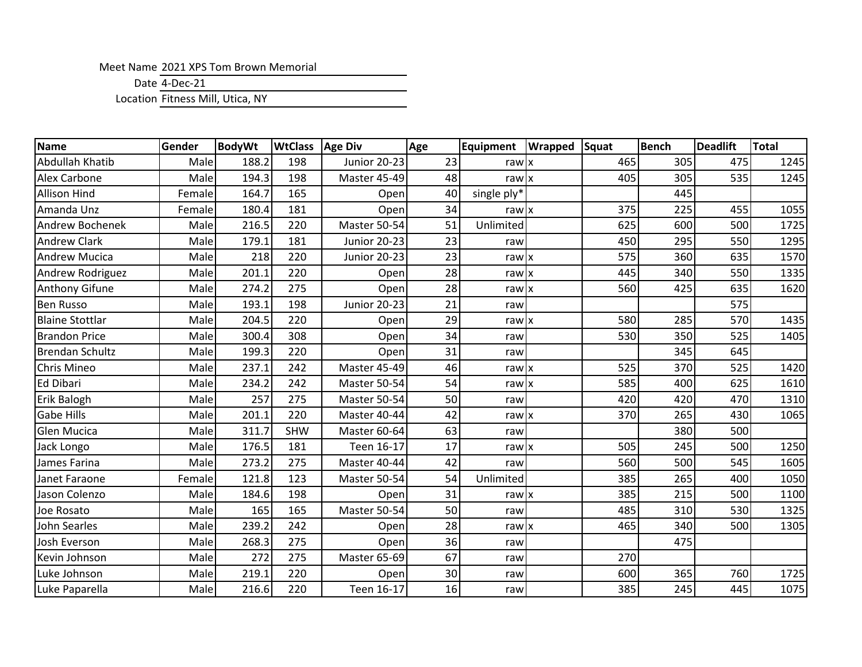## Meet Name 2021 XPS Tom Brown Memorial

Date 4-Dec-21

Location Fitness Mill, Utica, NY

| <b>Name</b>            | Gender | <b>BodyWt</b> | <b>WtClass</b> | <b>Age Div</b>      | Age | Equipment   | <b>Wrapped Squat</b> |     | <b>Bench</b> | Deadlift | <b>Total</b> |
|------------------------|--------|---------------|----------------|---------------------|-----|-------------|----------------------|-----|--------------|----------|--------------|
| Abdullah Khatib        | Male   | 188.2         | 198            | <b>Junior 20-23</b> | 23  | rawx        |                      | 465 | 305          | 475      | 1245         |
| <b>Alex Carbone</b>    | Male   | 194.3         | 198            | Master 45-49        | 48  | rawx        |                      | 405 | 305          | 535      | 1245         |
| <b>Allison Hind</b>    | Female | 164.7         | 165            | Open                | 40  | single ply* |                      |     | 445          |          |              |
| Amanda Unz             | Female | 180.4         | 181            | Open                | 34  | rawx        |                      | 375 | 225          | 455      | 1055         |
| <b>Andrew Bochenek</b> | Male   | 216.5         | 220            | Master 50-54        | 51  | Unlimited   |                      | 625 | 600          | 500      | 1725         |
| <b>Andrew Clark</b>    | Male   | 179.1         | 181            | <b>Junior 20-23</b> | 23  | raw         |                      | 450 | 295          | 550      | 1295         |
| <b>Andrew Mucica</b>   | Male   | 218           | 220            | Junior 20-23        | 23  | rawx        |                      | 575 | 360          | 635      | 1570         |
| Andrew Rodriguez       | Male   | 201.1         | 220            | Open                | 28  | rawx        |                      | 445 | 340          | 550      | 1335         |
| <b>Anthony Gifune</b>  | Male   | 274.2         | 275            | Open                | 28  | rawx        |                      | 560 | 425          | 635      | 1620         |
| <b>Ben Russo</b>       | Male   | 193.1         | 198            | <b>Junior 20-23</b> | 21  | raw         |                      |     |              | 575      |              |
| <b>Blaine Stottlar</b> | Male   | 204.5         | 220            | Open                | 29  | rawx        |                      | 580 | 285          | 570      | 1435         |
| <b>Brandon Price</b>   | Male   | 300.4         | 308            | Open                | 34  | raw         |                      | 530 | 350          | 525      | 1405         |
| <b>Brendan Schultz</b> | Male   | 199.3         | 220            | Open                | 31  | raw         |                      |     | 345          | 645      |              |
| <b>Chris Mineo</b>     | Male   | 237.1         | 242            | Master 45-49        | 46  | rawx        |                      | 525 | 370          | 525      | 1420         |
| Ed Dibari              | Male   | 234.2         | 242            | Master 50-54        | 54  | rawx        |                      | 585 | 400          | 625      | 1610         |
| Erik Balogh            | Male   | 257           | 275            | Master 50-54        | 50  | raw         |                      | 420 | 420          | 470      | 1310         |
| <b>Gabe Hills</b>      | Male   | 201.1         | 220            | Master 40-44        | 42  | rawx        |                      | 370 | 265          | 430      | 1065         |
| <b>Glen Mucica</b>     | Male   | 311.7         | <b>SHW</b>     | Master 60-64        | 63  | raw         |                      |     | 380          | 500      |              |
| Jack Longo             | Male   | 176.5         | 181            | Teen 16-17          | 17  | rawx        |                      | 505 | 245          | 500      | 1250         |
| James Farina           | Male   | 273.2         | 275            | Master 40-44        | 42  | raw         |                      | 560 | 500          | 545      | 1605         |
| Janet Faraone          | Female | 121.8         | 123            | Master 50-54        | 54  | Unlimited   |                      | 385 | 265          | 400      | 1050         |
| Jason Colenzo          | Male   | 184.6         | 198            | Open                | 31  | rawx        |                      | 385 | 215          | 500      | 1100         |
| Joe Rosato             | Male   | 165           | 165            | Master 50-54        | 50  | raw         |                      | 485 | 310          | 530      | 1325         |
| John Searles           | Male   | 239.2         | 242            | Open                | 28  | rawx        |                      | 465 | 340          | 500      | 1305         |
| Josh Everson           | Male   | 268.3         | 275            | Open                | 36  | raw         |                      |     | 475          |          |              |
| Kevin Johnson          | Male   | 272           | 275            | Master 65-69        | 67  | raw         |                      | 270 |              |          |              |
| Luke Johnson           | Male   | 219.1         | 220            | Open                | 30  | raw         |                      | 600 | 365          | 760      | 1725         |
| Luke Paparella         | Male   | 216.6         | 220            | Teen 16-17          | 16  | raw         |                      | 385 | 245          | 445      | 1075         |